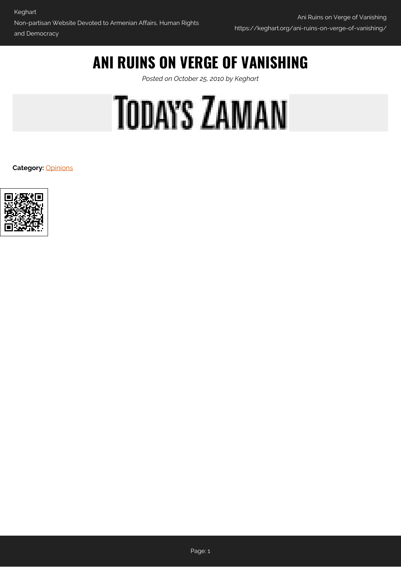# **ANI RUINS ON VERGE OF VANISHING**

*Posted on October 25, 2010 by Keghart*

# **TODAYS ZAMAN**

**Category:** [Opinions](https://keghart.org/category/opinions/)

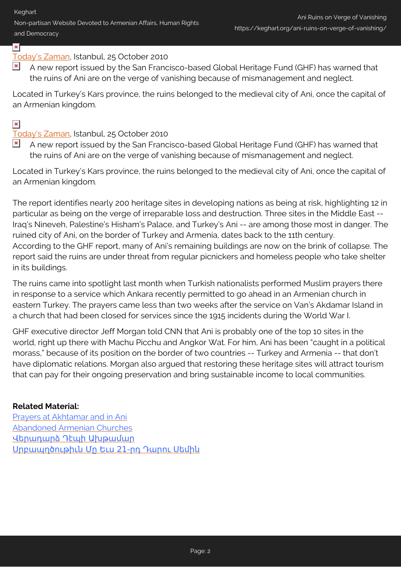Keghart

Non-partisan Website Devoted to Armenian Affairs, Human Rights and Democracy

# $\mathbf{x}$  .

# [Today's Zaman,](http://www.todayszaman.com/tz-web/news-225324-global-heritage-fund-ani-ruins-on-verge-of-vanishing-due-to-neglect.html) Istanbul, 25 October 2010

 $\blacktriangleright$  A new report issued by the San Francisco-based Global Heritage Fund (GHF) has warned that the ruins of Ani are on the verge of vanishing because of mismanagement and neglect.

Located in Turkey's Kars province, the ruins belonged to the medieval city of Ani, once the capital of an Armenian kingdom.

# $\pmb{\times}$

### [Today's Zaman,](http://www.todayszaman.com/tz-web/news-225324-global-heritage-fund-ani-ruins-on-verge-of-vanishing-due-to-neglect.html) Istanbul, 25 October 2010

 $\blacktriangleright$  A new report issued by the San Francisco-based Global Heritage Fund (GHF) has warned that the ruins of Ani are on the verge of vanishing because of mismanagement and neglect.

Located in Turkey's Kars province, the ruins belonged to the medieval city of Ani, once the capital of an Armenian kingdom.

The report identifies nearly 200 heritage sites in developing nations as being at risk, highlighting 12 in particular as being on the verge of irreparable loss and destruction. Three sites in the Middle East -- Iraq's Nineveh, Palestine's Hisham's Palace, and Turkey's Ani -- are among those most in danger. The ruined city of Ani, on the border of Turkey and Armenia, dates back to the 11th century. According to the GHF report, many of Ani's remaining buildings are now on the brink of collapse. The report said the ruins are under threat from regular picnickers and homeless people who take shelter in its buildings.

The ruins came into spotlight last month when Turkish nationalists performed Muslim prayers there in response to a service which Ankara recently permitted to go ahead in an Armenian church in eastern Turkey. The prayers came less than two weeks after the service on Van's Akdamar Island in a church that had been closed for services since the 1915 incidents during the World War I.

GHF executive director Jeff Morgan told CNN that Ani is probably one of the top 10 sites in the world, right up there with Machu Picchu and Angkor Wat. For him, Ani has been "caught in a political morass," because of its position on the border of two countries -- Turkey and Armenia -- that don't have diplomatic relations. Morgan also argued that restoring these heritage sites will attract tourism that can pay for their ongoing preservation and bring sustainable income to local communities.

### **Related Material:**

[Prayers at Akhtamar and in Ani](http://www.keghart.com/MarkGavoor_Prayers) [Abandoned Armenian Churches](http://www.keghart.com/AbandonedChurches) [Վերադարձ Դէպի Ախթամար](http://www.keghart.com/Krajian_Akhtamar) Սրբապղծութիւն Մր Եւս 21-րդ Դարու Սեմիև